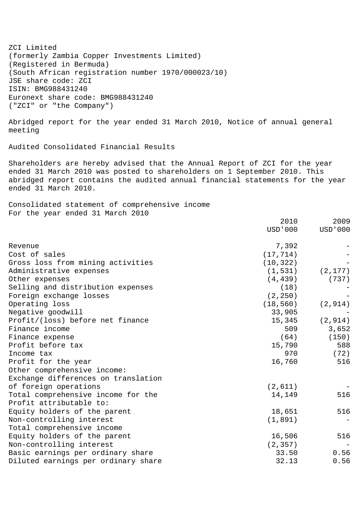ZCI Limited (formerly Zambia Copper Investments Limited) (Registered in Bermuda) (South African registration number 1970/000023/10) JSE share code: ZCI ISIN: BMG988431240 Euronext share code: BMG988431240 ("ZCI" or "the Company")

Abridged report for the year ended 31 March 2010, Notice of annual general meeting

Audited Consolidated Financial Results

Shareholders are hereby advised that the Annual Report of ZCI for the year ended 31 March 2010 was posted to shareholders on 1 September 2010. This abridged report contains the audited annual financial statements for the year ended 31 March 2010.

Consolidated statement of comprehensive income For the year ended 31 March 2010

|                                     | 2010      | 2009      |
|-------------------------------------|-----------|-----------|
|                                     | USD ' 000 | USD ' 000 |
| Revenue                             | 7,392     |           |
| Cost of sales                       | (17, 714) |           |
| Gross loss from mining activities   | (10, 322) |           |
| Administrative expenses             | (1, 531)  | (2, 177)  |
| Other expenses                      | (4, 439)  | (737)     |
| Selling and distribution expenses   | (18)      |           |
| Foreign exchange losses             | (2, 250)  |           |
| Operating loss                      | (18, 560) | (2, 914)  |
| Negative goodwill                   | 33,905    |           |
| Profit/(loss) before net finance    | 15,345    | (2, 914)  |
| Finance income                      | 509       | 3,652     |
| Finance expense                     | (64)      | (150)     |
| Profit before tax                   | 15,790    | 588       |
| Income tax                          | 970       | (72)      |
| Profit for the year                 | 16,760    | 516       |
| Other comprehensive income:         |           |           |
| Exchange differences on translation |           |           |
| of foreign operations               | (2,611)   |           |
| Total comprehensive income for the  | 14,149    | 516       |
| Profit attributable to:             |           |           |
| Equity holders of the parent        | 18,651    | 516       |
| Non-controlling interest            | (1, 891)  |           |
| Total comprehensive income          |           |           |
| Equity holders of the parent        | 16,506    | 516       |
| Non-controlling interest            | (2, 357)  |           |
| Basic earnings per ordinary share   | 33.50     | 0.56      |
| Diluted earnings per ordinary share | 32.13     | 0.56      |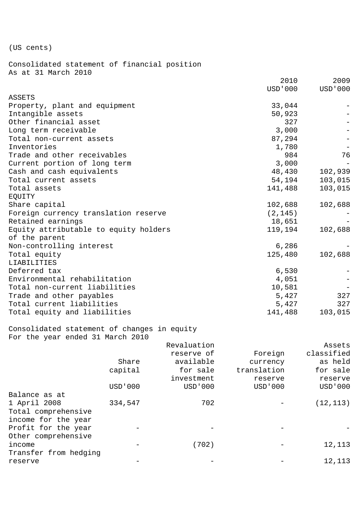(US cents)

Consolidated statement of financial position As at 31 March 2010

|                                       | 2010      | 2009      |
|---------------------------------------|-----------|-----------|
| ASSETS                                | USD ' 000 | USD ' 000 |
| Property, plant and equipment         | 33,044    |           |
| Intangible assets                     | 50,923    |           |
| Other financial asset                 | 327       |           |
| Long term receivable                  | 3,000     |           |
| Total non-current assets              | 87,294    |           |
| Inventories                           | 1,780     |           |
| Trade and other receivables           | 984       | 76        |
| Current portion of long term          | 3,000     |           |
| Cash and cash equivalents             | 48,430    | 102,939   |
| Total current assets                  | 54,194    | 103,015   |
| Total assets                          | 141,488   | 103,015   |
| EQUITY                                |           |           |
| Share capital                         | 102,688   | 102,688   |
| Foreign currency translation reserve  | (2, 145)  |           |
| Retained earnings                     | 18,651    |           |
| Equity attributable to equity holders | 119,194   | 102,688   |
| of the parent                         |           |           |
| Non-controlling interest              | 6,286     |           |
| Total equity                          | 125,480   | 102,688   |
| LIABILITIES                           |           |           |
| Deferred tax                          | 6,530     |           |
| Environmental rehabilitation          | 4,051     |           |
| Total non-current liabilities         | 10,581    |           |
| Trade and other payables              | 5,427     | 327       |
| Total current liabilities             | 5,427     | 327       |
| Total equity and liabilities          | 141,488   | 103,015   |
|                                       |           |           |

Consolidated statement of changes in equity For the year ended 31 March 2010

|                       |           | Revaluation |             | Assets     |
|-----------------------|-----------|-------------|-------------|------------|
|                       |           | reserve of  | Foreign     | classified |
|                       | Share     | available   | currency    | as held    |
|                       | capital   | for sale    | translation | for sale   |
|                       |           | investment  | reserve     | reserve    |
|                       | USD ' 000 | USD ' 000   | USD ' 000   | USD ' 000  |
| Balance as at         |           |             |             |            |
| 1 April 2008          | 334,547   | 702         |             | (12, 113)  |
| Total comprehensive   |           |             |             |            |
| income for the year   |           |             |             |            |
| Profit for the year   |           |             |             |            |
| Other comprehensive   |           |             |             |            |
| income                |           | (702)       |             | 12,113     |
| Transfer from hedging |           |             |             |            |
| reserve               |           |             |             | 12,113     |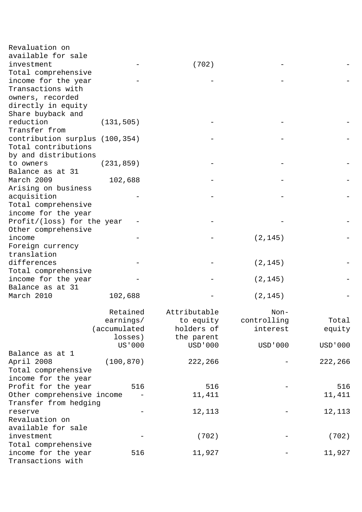| Revaluation on                 |              |                |             |           |
|--------------------------------|--------------|----------------|-------------|-----------|
| available for sale             |              |                |             |           |
| investment                     |              | (702)          |             |           |
| Total comprehensive            |              |                |             |           |
| income for the year            |              |                |             |           |
| Transactions with              |              |                |             |           |
| owners, recorded               |              |                |             |           |
| directly in equity             |              |                |             |           |
| Share buyback and              |              |                |             |           |
| reduction                      | (131, 505)   |                |             |           |
| Transfer from                  |              |                |             |           |
| contribution surplus (100,354) |              |                |             |           |
| Total contributions            |              |                |             |           |
| by and distributions           |              |                |             |           |
| to owners                      | (231, 859)   |                |             |           |
| Balance as at 31               |              |                |             |           |
| March 2009                     | 102,688      |                |             |           |
|                                |              |                |             |           |
| Arising on business            |              |                |             |           |
| acquisition                    |              |                |             |           |
| Total comprehensive            |              |                |             |           |
| income for the year            |              |                |             |           |
| Profit/(loss) for the year     |              |                |             |           |
| Other comprehensive            |              |                |             |           |
| income                         |              |                | (2, 145)    |           |
| Foreign currency               |              |                |             |           |
| translation                    |              |                |             |           |
| differences                    |              |                | (2, 145)    |           |
| Total comprehensive            |              |                |             |           |
| income for the year            |              |                | (2, 145)    |           |
| Balance as at 31               |              |                |             |           |
| March 2010                     | 102,688      |                | (2, 145)    |           |
|                                |              |                |             |           |
|                                | Retained     | Attributable   | $Non-$      |           |
|                                | earnings/    | to equity      | controlling | Total     |
|                                | (accumulated | holders of     | interest    | equity    |
|                                | losses)      | the parent     |             |           |
|                                | US'000       | <b>USD'000</b> | USD ' 000   | USD ' 000 |
| Balance as at 1                |              |                |             |           |
| April 2008                     | (100, 870)   | 222,266        |             | 222,266   |
| Total comprehensive            |              |                |             |           |
| income for the year            |              |                |             |           |
| Profit for the year            | 516          | 516            |             | 516       |
| Other comprehensive income     |              | 11,411         |             | 11,411    |
| Transfer from hedging          |              |                |             |           |
|                                |              | 12,113         |             |           |
| reserve<br>Revaluation on      |              |                |             | 12,113    |
|                                |              |                |             |           |
| available for sale             |              |                |             |           |
| investment                     |              | (702)          |             | (702)     |
| Total comprehensive            |              |                |             |           |
| income for the year            | 516          | 11,927         |             | 11,927    |
| Transactions with              |              |                |             |           |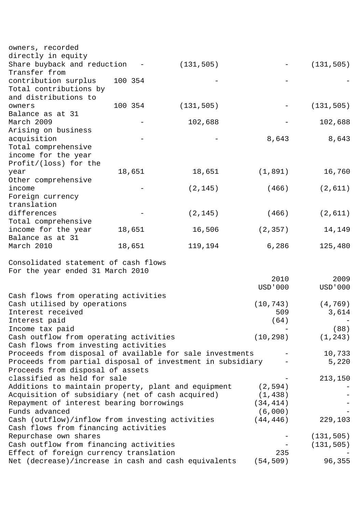| owners, recorded                                                                 |         |            |           |                |
|----------------------------------------------------------------------------------|---------|------------|-----------|----------------|
| directly in equity                                                               |         |            |           |                |
| Share buyback and reduction                                                      |         | (131, 505) |           | (131, 505)     |
| Transfer from                                                                    |         |            |           |                |
| contribution surplus<br>Total contributions by                                   | 100 354 |            |           |                |
| and distributions to                                                             |         |            |           |                |
| owners                                                                           | 100 354 | (131, 505) |           | (131, 505)     |
| Balance as at 31                                                                 |         |            |           |                |
| March 2009                                                                       |         | 102,688    |           | 102,688        |
| Arising on business                                                              |         |            |           |                |
| acquisition                                                                      |         |            | 8,643     | 8,643          |
| Total comprehensive                                                              |         |            |           |                |
| income for the year                                                              |         |            |           |                |
| Profit/(loss) for the                                                            |         |            |           |                |
| year                                                                             | 18,651  | 18,651     | (1, 891)  | 16,760         |
| Other comprehensive                                                              |         |            |           |                |
| income                                                                           |         | (2, 145)   | (466)     | (2,611)        |
| Foreign currency                                                                 |         |            |           |                |
| translation                                                                      |         |            |           |                |
| differences                                                                      |         | (2, 145)   | (466)     | (2,611)        |
| Total comprehensive                                                              |         |            |           |                |
| income for the year                                                              | 18,651  | 16,506     | (2, 357)  | 14,149         |
| Balance as at 31                                                                 |         |            |           |                |
| March 2010                                                                       | 18,651  | 119,194    | 6,286     | 125,480        |
| Consolidated statement of cash flows                                             |         |            |           |                |
| For the year ended 31 March 2010                                                 |         |            |           |                |
|                                                                                  |         |            | 2010      | 2009           |
|                                                                                  |         |            | USD ' 000 | <b>USD'000</b> |
| Cash flows from operating activities                                             |         |            |           |                |
| Cash utilised by operations                                                      |         |            | (10, 743) | (4, 769)       |
| Interest received                                                                |         |            | 509       | 3,614          |
| Interest paid                                                                    |         |            | (64)      |                |
| Income tax paid                                                                  |         |            |           | (88)           |
| Cash outflow from operating activities                                           |         |            | (10, 298) | (1, 243)       |
| Cash flows from investing activities                                             |         |            |           |                |
| Proceeds from disposal of available for sale investments                         |         |            |           | 10,733         |
| Proceeds from partial disposal of investment in subsidiary                       |         |            |           | 5,220          |
| Proceeds from disposal of assets                                                 |         |            |           |                |
| classified as held for sale                                                      |         |            |           | 213,150        |
| Additions to maintain property, plant and equipment                              |         |            | (2, 594)  |                |
| Acquisition of subsidiary (net of cash acquired)                                 |         |            | (1, 438)  |                |
| Repayment of interest bearing borrowings                                         |         |            | (34, 414) |                |
| Funds advanced                                                                   |         |            | (6,000)   |                |
| Cash (outflow)/inflow from investing activities                                  |         |            | (44, 446) | 229,103        |
| Cash flows from financing activities                                             |         |            |           |                |
| Repurchase own shares                                                            |         |            |           | (131, 505)     |
| Cash outflow from financing activities<br>Effect of foreign currency translation |         |            | 235       | (131, 505)     |
| Net (decrease)/increase in cash and cash equivalents                             |         |            | (54, 509) | 96,355         |
|                                                                                  |         |            |           |                |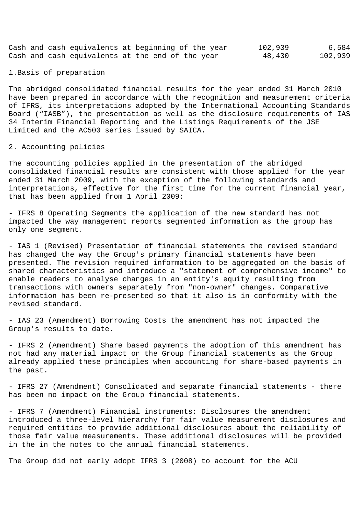Cash and cash equivalents at beginning of the year 102,939 6,584<br>Cash and cash equivalents at the end of the year 48.430 102.939 Cash and cash equivalents at the end of the year 48,430 102,939

1.Basis of preparation

The abridged consolidated financial results for the year ended 31 March 2010 have been prepared in accordance with the recognition and measurement criteria of IFRS, its interpretations adopted by the International Accounting Standards Board ("IASB"), the presentation as well as the disclosure requirements of IAS 34 Interim Financial Reporting and the Listings Requirements of the JSE Limited and the AC500 series issued by SAICA.

## 2. Accounting policies

The accounting policies applied in the presentation of the abridged consolidated financial results are consistent with those applied for the year ended 31 March 2009, with the exception of the following standards and interpretations, effective for the first time for the current financial year, that has been applied from 1 April 2009:

- IFRS 8 Operating Segments the application of the new standard has not impacted the way management reports segmented information as the group has only one segment.

- IAS 1 (Revised) Presentation of financial statements the revised standard has changed the way the Group's primary financial statements have been presented. The revision required information to be aggregated on the basis of shared characteristics and introduce a "statement of comprehensive income" to enable readers to analyse changes in an entity's equity resulting from transactions with owners separately from "non-owner" changes. Comparative information has been re-presented so that it also is in conformity with the revised standard.

- IAS 23 (Amendment) Borrowing Costs the amendment has not impacted the Group's results to date.

- IFRS 2 (Amendment) Share based payments the adoption of this amendment has not had any material impact on the Group financial statements as the Group already applied these principles when accounting for share-based payments in the past.

- IFRS 27 (Amendment) Consolidated and separate financial statements - there has been no impact on the Group financial statements.

- IFRS 7 (Amendment) Financial instruments: Disclosures the amendment introduced a three-level hierarchy for fair value measurement disclosures and required entities to provide additional disclosures about the reliability of those fair value measurements. These additional disclosures will be provided in the in the notes to the annual financial statements.

The Group did not early adopt IFRS 3 (2008) to account for the ACU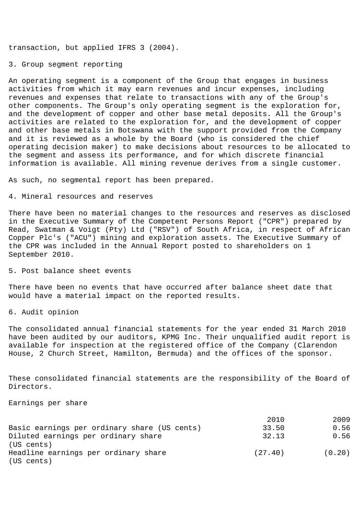transaction, but applied IFRS 3 (2004).

3. Group segment reporting

An operating segment is a component of the Group that engages in business activities from which it may earn revenues and incur expenses, including revenues and expenses that relate to transactions with any of the Group's other components. The Group's only operating segment is the exploration for, and the development of copper and other base metal deposits. All the Group's activities are related to the exploration for, and the development of copper and other base metals in Botswana with the support provided from the Company and it is reviewed as a whole by the Board (who is considered the chief operating decision maker) to make decisions about resources to be allocated to the segment and assess its performance, and for which discrete financial information is available. All mining revenue derives from a single customer.

As such, no segmental report has been prepared.

## 4. Mineral resources and reserves

There have been no material changes to the resources and reserves as disclosed in the Executive Summary of the Competent Persons Report ("CPR") prepared by Read, Swatman & Voigt (Pty) Ltd ("RSV") of South Africa, in respect of African Copper Plc's ("ACU") mining and exploration assets. The Executive Summary of the CPR was included in the Annual Report posted to shareholders on 1 September 2010.

5. Post balance sheet events

There have been no events that have occurred after balance sheet date that would have a material impact on the reported results.

6. Audit opinion

The consolidated annual financial statements for the year ended 31 March 2010 have been audited by our auditors, KPMG Inc. Their unqualified audit report is available for inspection at the registered office of the Company (Clarendon House, 2 Church Street, Hamilton, Bermuda) and the offices of the sponsor.

These consolidated financial statements are the responsibility of the Board of Directors.

Earnings per share

|                                              | 2010    | 2009   |
|----------------------------------------------|---------|--------|
| Basic earnings per ordinary share (US cents) | 33.50   | 0.56   |
| Diluted earnings per ordinary share          | 32.13   | 0.56   |
| (US cents)                                   |         |        |
| Headline earnings per ordinary share         | (27.40) | (0.20) |
| (US cents)                                   |         |        |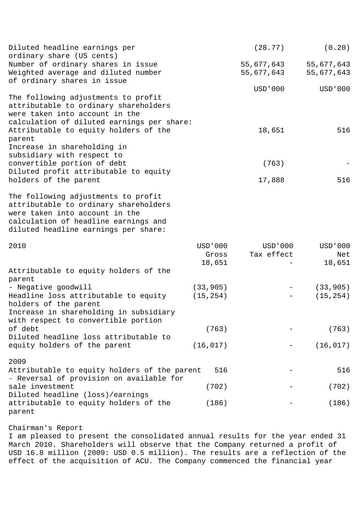| Diluted headline earnings per<br>ordinary share (US cents)                                                                                                                                     |                              | (28.77)                  | (0.20)                     |
|------------------------------------------------------------------------------------------------------------------------------------------------------------------------------------------------|------------------------------|--------------------------|----------------------------|
| Number of ordinary shares in issue<br>Weighted average and diluted number<br>of ordinary shares in issue                                                                                       |                              | 55,677,643<br>55,677,643 | 55,677,643<br>55,677,643   |
|                                                                                                                                                                                                |                              | USD ' 000                | USD ' 000                  |
| The following adjustments to profit<br>attributable to ordinary shareholders<br>were taken into account in the<br>calculation of diluted earnings per share:                                   |                              |                          |                            |
| Attributable to equity holders of the<br>parent                                                                                                                                                |                              | 18,651                   | 516                        |
| Increase in shareholding in<br>subsidiary with respect to                                                                                                                                      |                              |                          |                            |
| convertible portion of debt<br>Diluted profit attributable to equity                                                                                                                           |                              | (763)                    |                            |
| holders of the parent                                                                                                                                                                          |                              | 17,888                   | 516                        |
| The following adjustments to profit<br>attributable to ordinary shareholders<br>were taken into account in the<br>calculation of headline earnings and<br>diluted headline earnings per share: |                              |                          |                            |
| 2010                                                                                                                                                                                           | USD ' 000<br>Gross<br>18,651 | USD'000<br>Tax effect    | USD ' 000<br>Net<br>18,651 |
| Attributable to equity holders of the<br>parent                                                                                                                                                |                              |                          |                            |
| - Negative goodwill                                                                                                                                                                            | (33, 905)                    |                          | (33, 905)                  |
| Headline loss attributable to equity<br>holders of the parent                                                                                                                                  | (15, 254)                    |                          | (15, 254)                  |
| Increase in shareholding in subsidiary<br>with respect to convertible portion                                                                                                                  |                              |                          |                            |
| of debt<br>Diluted headline loss attributable to                                                                                                                                               | (763)                        |                          | (763)                      |

2009

Attributable to equity holders of the parent 516 - 516 - Reversal of provision on available for sale investment (702) (702) Diluted headline (loss)/earnings attributable to equity holders of the (186) - (186) parent

equity holders of the parent  $(16,017)$   $(16,017)$ 

Chairman's Report

I am pleased to present the consolidated annual results for the year ended 31 March 2010. Shareholders will observe that the Company returned a profit of USD 16.8 million (2009: USD 0.5 million). The results are a reflection of the effect of the acquisition of ACU. The Company commenced the financial year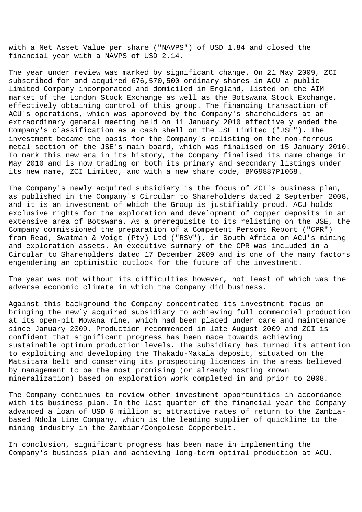with a Net Asset Value per share ("NAVPS") of USD 1.84 and closed the financial year with a NAVPS of USD 2.14.

The year under review was marked by significant change. On 21 May 2009, ZCI subscribed for and acquired 676,570,500 ordinary shares in ACU a public limited Company incorporated and domiciled in England, listed on the AIM market of the London Stock Exchange as well as the Botswana Stock Exchange, effectively obtaining control of this group. The financing transaction of ACU's operations, which was approved by the Company's shareholders at an extraordinary general meeting held on 11 January 2010 effectively ended the Company's classification as a cash shell on the JSE Limited ("JSE"). The investment became the basis for the Company's relisting on the non-ferrous metal section of the JSE's main board, which was finalised on 15 January 2010. To mark this new era in its history, the Company finalised its name change in May 2010 and is now trading on both its primary and secondary listings under its new name, ZCI Limited, and with a new share code, BMG9887P1068.

The Company's newly acquired subsidiary is the focus of ZCI's business plan, as published in the Company's Circular to Shareholders dated 2 September 2008, and it is an investment of which the Group is justifiably proud. ACU holds exclusive rights for the exploration and development of copper deposits in an extensive area of Botswana. As a prerequisite to its relisting on the JSE, the Company commissioned the preparation of a Competent Persons Report ("CPR") from Read, Swatman & Voigt (Pty) Ltd ("RSV"), in South Africa on ACU's mining and exploration assets. An executive summary of the CPR was included in a Circular to Shareholders dated 17 December 2009 and is one of the many factors engendering an optimistic outlook for the future of the investment.

The year was not without its difficulties however, not least of which was the adverse economic climate in which the Company did business.

Against this background the Company concentrated its investment focus on bringing the newly acquired subsidiary to achieving full commercial production at its open-pit Mowana mine, which had been placed under care and maintenance since January 2009. Production recommenced in late August 2009 and ZCI is confident that significant progress has been made towards achieving sustainable optimum production levels. The subsidiary has turned its attention to exploiting and developing the Thakadu-Makala deposit, situated on the Matsitama belt and conserving its prospecting licences in the areas believed by management to be the most promising (or already hosting known mineralization) based on exploration work completed in and prior to 2008.

The Company continues to review other investment opportunities in accordance with its business plan. In the last quarter of the financial year the Company advanced a loan of USD 6 million at attractive rates of return to the Zambiabased Ndola Lime Company, which is the leading supplier of quicklime to the mining industry in the Zambian/Congolese Copperbelt.

In conclusion, significant progress has been made in implementing the Company's business plan and achieving long-term optimal production at ACU.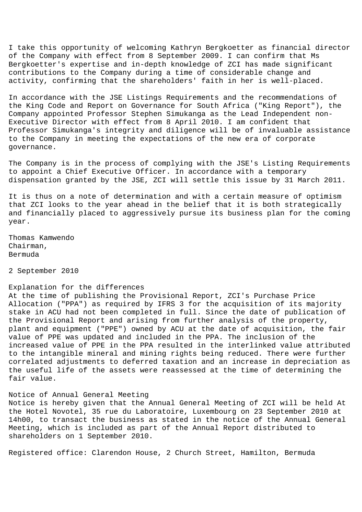I take this opportunity of welcoming Kathryn Bergkoetter as financial director of the Company with effect from 8 September 2009. I can confirm that Ms Bergkoetter's expertise and in-depth knowledge of ZCI has made significant contributions to the Company during a time of considerable change and activity, confirming that the shareholders' faith in her is well-placed.

In accordance with the JSE Listings Requirements and the recommendations of the King Code and Report on Governance for South Africa ("King Report"), the Company appointed Professor Stephen Simukanga as the Lead Independent non-Executive Director with effect from 8 April 2010. I am confident that Professor Simukanga's integrity and diligence will be of invaluable assistance to the Company in meeting the expectations of the new era of corporate governance.

The Company is in the process of complying with the JSE's Listing Requirements to appoint a Chief Executive Officer. In accordance with a temporary dispensation granted by the JSE, ZCI will settle this issue by 31 March 2011.

It is thus on a note of determination and with a certain measure of optimism that ZCI looks to the year ahead in the belief that it is both strategically and financially placed to aggressively pursue its business plan for the coming year.

Thomas Kamwendo Chairman, Bermuda

2 September 2010

## Explanation for the differences

At the time of publishing the Provisional Report, ZCI's Purchase Price Allocation ("PPA") as required by IFRS 3 for the acquisition of its majority stake in ACU had not been completed in full. Since the date of publication of the Provisional Report and arising from further analysis of the property, plant and equipment ("PPE") owned by ACU at the date of acquisition, the fair value of PPE was updated and included in the PPA. The inclusion of the increased value of PPE in the PPA resulted in the interlinked value attributed to the intangible mineral and mining rights being reduced. There were further correlated adjustments to deferred taxation and an increase in depreciation as the useful life of the assets were reassessed at the time of determining the fair value.

## Notice of Annual General Meeting

Notice is hereby given that the Annual General Meeting of ZCI will be held At the Hotel Novotel, 35 rue du Laboratoire, Luxembourg on 23 September 2010 at 14h00, to transact the business as stated in the notice of the Annual General Meeting, which is included as part of the Annual Report distributed to shareholders on 1 September 2010.

Registered office: Clarendon House, 2 Church Street, Hamilton, Bermuda